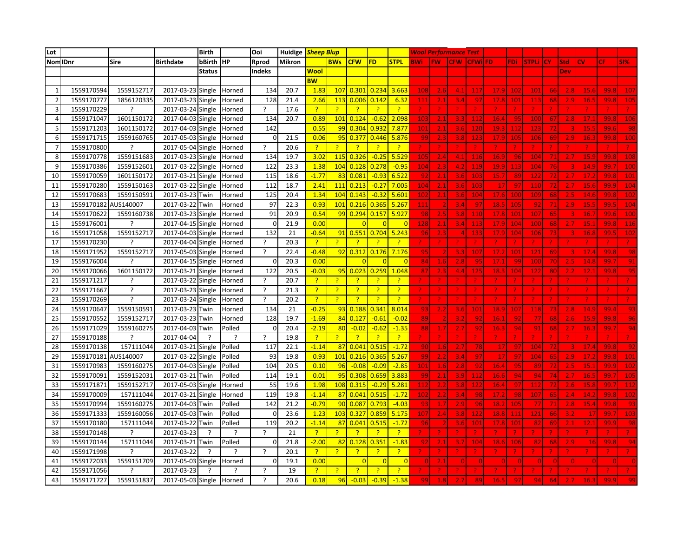| Lot            |            |              |                   | <b>Birth</b>  |        | Ooi                      |        | Huidige <i>Sheep Blup</i> |                |                   |                |                |            |           | <b>Wool Performance Test</b> |                 |             |                 |                 |           |            |                 |      |                 |
|----------------|------------|--------------|-------------------|---------------|--------|--------------------------|--------|---------------------------|----------------|-------------------|----------------|----------------|------------|-----------|------------------------------|-----------------|-------------|-----------------|-----------------|-----------|------------|-----------------|------|-----------------|
| Nom IDnr       |            | Sire         | <b>Birthdate</b>  | bBirth        | Інр    | Rprod                    | Mikron |                           | <b>BWs</b>     | <b>CFW</b>        | FD             | <b>STPL</b>    | <b>BWi</b> | <b>FW</b> | <b>CFW</b>                   | <b>CFWilFD</b>  |             | FDi             | <b>STPLi</b>    | <b>CY</b> | <b>Std</b> | CV              | CF.  | <b>SI%</b>      |
|                |            |              |                   | <b>Status</b> |        | Indeks                   |        | Wool                      |                |                   |                |                |            |           |                              |                 |             |                 |                 |           | Dev        |                 |      |                 |
|                |            |              |                   |               |        |                          |        | <b>BW</b>                 |                |                   |                |                |            |           |                              |                 |             |                 |                 |           |            |                 |      |                 |
|                | 1559170594 | 1559152717   | 2017-03-23        | Single        | Horned | 134                      | 20.7   | 1.83                      | 107            | 0.30              | 0.234          | 3.663          | 108        | 2.6       | 4.1                          | 11              | 17.9        | 10              | $10^{\circ}$    | 661       | 2.8        | 15.0            | 99.  | 10              |
| -2             | 1559170777 | 1856120335   | 2017-03-23        | Single        | Horned | 128                      | 21.4   | 2.66                      | 113            | 0.006             | 0.142          | 6.32           | 111        | 2.1       | 3.4                          | -97             | <b>17.8</b> | 10 <sub>1</sub> | 113             | 68        | 2.9        | 16.5            | 99.8 | $10^{6}$        |
| Е              | 1559170229 | C            | 2017-03-24        | Single        | Horned | $\overline{?}$           | 17.6   | $\overline{?}$            | $\mathbf{P}$   | -2                | $\overline{?}$ | 2              |            |           |                              | -2              |             |                 |                 |           |            |                 |      |                 |
| $\Delta$       | 1559171047 | 1601150172   | 2017-04-03        | Single        | Horned | 134                      | 20.7   | 0.89                      | 101            | 0.124             | $-0.62$        | 2.098          | 103        | 2.1       | 3.3                          | 112             | 16.4        | -95             | 10(             | 67        | 2.8        | 17.             | 99.  | 10 <sub>6</sub> |
| 5              | 1559171203 | 1601150172   | 2017-04-03        | Single        | Horned | 142                      |        | 0.55                      | 99             | 0.30              | 0.93           | 7.877          | 101        |           | 3.f                          | 12(             | 19.3        | 11              | -12             |           |            | 15              | 99.  |                 |
| -6             | 1559171715 | 1559160765   | 2017-05-03        | Single        | Horned | n                        | 21.5   | 0.06                      | 95             | 0.37              | 0.446          | 5.876          | 99         | 2.3       | 3.8                          | 123             | 17.9        | 105             | 106             | 69        | 2.9        | 16.             | 99.8 | 10 <sub>C</sub> |
| $\overline{7}$ | 1559170800 | ?            | 2017-05-04        | Single        | Horned | $\mathcal{L}$            | 20.6   | $\overline{?}$            | $\mathcal{P}$  | -2                | ?              | 2              |            |           |                              | -2.             |             | -2              |                 |           |            |                 |      |                 |
| 8              | 1559170778 | 1559151683   | 2017-03-23        | Single        | Horned | 134                      | 19.7   | 3.02                      | 115            | 0.326             | $-0.25$        | 5.529          | 105        | 2.4       | 4.1                          | 116             | 16.9        | ♦               | 10 <sup>2</sup> | 71        | 2.7        | 15.             | 99.  | 108             |
| q              | 1559170386 | 1559152601   | 2017-03-22        | Single        | Horned | 122                      | 23.3   | 1.38                      | 104            | 0.12              | 0.278          | $-0.95$        | 104        |           | 4.7                          | 119             | <u>19.9</u> | 11              | 104             | 761       |            | 14.             | 99.  | 10(             |
| 10             | 1559170059 | 1601150172   | 2017-03-21        | Single        | Horned | 115                      | 18.6   | $-1.77$                   | 83             | 0.081             | $-0.93$        | 6.522          | 92         | 2.1       | 3.6                          | 103             | 15.7        | -89             | 127             | 721       | 2.7        | 17.3            | 99.  | 101             |
| 11             | 1559170280 | 1559150163   | 2017-03-22        | Single        | Horned | 112                      | 18.7   | 2.41                      | 111            | 0.213             | $-0.27$        | 7.005          | 104        | 2.1       | 3.6                          | 103             | 17          | $\overline{9}$  | 110             | 72        | 2.7        | 15.6            | 99.  | 104             |
| 12             | 1559170683 | 1559150591   | 2017-03-23        | Twin          | Horned | 125                      | 20.4   | 1.34                      | 104            | 0.143             | $-0.32$        | 5.601          | 102        | 2.1       | 3.6                          | 104             | 17.6        | 100             | 109             | 68        | 2.5        | 14.0            | 99.8 | 102             |
| 13             | 1559170182 | AUS140007    | 2017-03-22        | Twin          | Horned | 97                       | 22.3   | 0.93                      | 101            | 0.216             | 0.365          | 5.267          | 111        |           | 3.4                          | -91             | 18.5        | 10 <sub>1</sub> | 92              |           | 2.9        | 15.             | 99.  | 104             |
| 14             | 1559170622 | 1559160738   | 2017-03-23        | Single        | Horned | 91                       | 20.9   | 0.54                      | 99             | 0.294             | 0.157          | 5.927          | -98        | 2.5       | 3.8                          | 110             | 17.8        | 10 <sub>2</sub> | 107             | 65        |            | 16.             | 99.6 | 10 <sup>c</sup> |
| 15             | 1559176001 | ?            | 2017-04-15        | Single        | Horned | O                        | 21.9   | 0.00                      |                |                   |                | 0              | 128        | 2.1       | 3.4                          | 113             | 17.9        | 104             | 100             | 68        |            | 15.             | 99.  | 11(             |
| 16             | 1559171058 | 1559152717   | 2017-04-03        | Single        | Horned | 132                      | 21     | $-0.64$                   | 91             | 0.551             | 0.704          | 5.243          | 96         | 2.3       |                              | 133             | 17.9        | 104             | 106             | 73        |            | 16.             | 99.  | 102             |
| 17             | 1559170230 | ς            | 2017-04-04        | Single        | Horned | 2                        | 20.3   | $\overline{?}$            |                | $\overline{z}$    | $\overline{?}$ | <sub>?</sub>   |            |           |                              | ?               |             |                 |                 |           |            |                 |      |                 |
| 18             | 1559171952 | 1559152717   | 2017-05-03        | Single        | Horned | $\overline{\phantom{a}}$ | 22.4   | $-0.48$                   | 92             | 0.312             | 0.176          | 7.176          | <b>QF</b>  |           | 3.3                          | 10              | 17.2        | 10              | 12 <sup>1</sup> | 69        |            | 17.             | 99.  | 98              |
| 19             | 1559176004 | ς            | 2017-04-15        | Single        | Horned |                          | 20.3   | 0.00                      |                |                   |                | $\Omega$       | 84         | 1.6       | 2.8                          | -95             | 17.1        | -99             | 100             | 70        |            | 14.8            | 99.  | 91              |
| 20             | 1559170066 | 1601150172   | 2017-03-21        | Single        | Horned | 122                      | 20.5   | $-0.03$                   | 95             | 0.023             | 0.259          | 1.048          |            | 2.3       | 4.4                          | 12!             | 18.3        | 104             | 122             | 80        | 2.2        | 12 <sub>1</sub> | 99.8 | 95              |
| 21             | 1559171217 | ?            | 2017-03-22        | Single        | Horned | ?                        | 20.7   | $\overline{?}$            | ?              | 2                 | $\overline{?}$ | <sub>?</sub>   |            |           |                              | -2.             |             | -2              |                 |           |            | -2              |      |                 |
| 22             | 1559171667 | ?            | 2017-03-23        | Single        | Horned | ?                        | 21.3   | $\overline{?}$            | P              | 3                 | $\overline{?}$ | P              |            |           |                              | ?               |             | -2              |                 |           |            |                 |      |                 |
| 23             | 1559170269 | <sup>2</sup> | 2017-03-24 Single |               | Horned | $\overline{?}$           | 20.2   | $\overline{?}$            | $\overline{?}$ | $\overline{?}$    | $\overline{?}$ | $\overline{?}$ |            |           |                              | -2              |             | -2              |                 |           |            |                 |      |                 |
| 24             | 1559170647 | 1559150591   | 2017-03-23        | Twin          | Horned | 134                      | 21     | $-0.25$                   | 93             | 0.188             | 0.341          | 8.014          | i qa       |           | 3.6                          | 101             | 18.9        | 10              | 118             | 73        | 2.8        | 14.             | 99.  | 93              |
| 25             | 1559170552 | 1559152717   | 2017-03-23        | Twin          | Horned | 128                      | 19.7   | $-1.69$                   | 84             | $0.12^{7}$        | $-0.6$         | $-0.02$        |            |           | з.                           | -91             | 16.         | 9.              | 77              | 68        | 2.6        | 15.             | 99.  | 96              |
| 26             | 1559171029 | 1559160275   | 2017-04-03        | Twin          | Polled | n                        | 20.4   | $-2.19$                   | 80             | $-0.02$           | $-0.62$        | $-1.35$        | -88        | 1.7       | 2.7                          | -92             | 16.3        | 94              | 91              | 68        | 2.7        | 16.             | 99.  | 94              |
| 27             | 1559170188 | <sup>2</sup> | 2017-04-04        | ?             | ?      | $\overline{?}$           | 19.8   | $\overline{?}$            | $\mathbf{P}$   | $\overline{z}$    | $\overline{?}$ | $\overline{?}$ | -2         |           | 2                            | ?               | 2.          | Р.              | 2               | Р.        | 7          | -2              | -21  |                 |
| 28             | 1559170138 | 157111044    | 2017-03-21        | Single        | Polled | 117                      | 22.1   | $-1.14$                   | 87             | 0.041             | 0.515          | $-1.72$        | 90         | 1.6       | 2.1                          | -78             | 17          | $\overline{9}$  | 104             | 72        |            | 17.             | 99.  | 92              |
| 29             | 1559170181 | AUS140007    | 2017-03-22        | Single        | Polled | 93                       | 19.8   | 0.93                      | 101            | 0.216             | 0.365          | 5.267          |            |           | 3.4                          | -97             | 17          | -91             | 104             | 65        |            | 17.             | 99.  | 101             |
| 31             | 1559170983 | 1559160275   | 2017-04-03        | Single        | Polled | 104                      | 20.5   | 0.10                      | 96             | $-0.08$           | $-0.09$        | $-2.85$        | <b>101</b> | 1.6       | 2.8                          | -92             | 16.4        | 95              | 89              | 72        | 2.5        | 15.             | 99.  | 102             |
| 32             | 1559170091 | 1559152031   | 2017-03-21        | Twin          | Polled | 114                      | 19.1   | 0.01                      | 95             | 0.30 <sub>1</sub> | 0.659          | 3.883          | -qc        | 2.1       | 3.9                          | 112             | 16.6        | -94             | 94              | 74        | 2.7        | 16.             | 99.  | 10 <sup>5</sup> |
| 33             | 1559171871 | 1559152717   | 2017-05-03        | Single        | Horned | 55                       | 19.6   | 1.98                      | 108            | 0.315             | $-0.29$        | 5.281          | 112        | 2.2       | 3.8                          | 12 <sub>2</sub> | 16.4        | -97             | <u>112</u>      | 72        | 2.6        | 15.5            | 99.  | 112             |
| 34             | 1559170009 | 157111044    | 2017-03-21        | Single        | Horned | 119                      | 19.8   | $-1.14$                   | 87             | 0.04              | 0.515          | $-1.72$        | 102        | 2.2       | 3.4                          | -98             | 17.2        | -98             | 107             | 65        | 2.4        | 14.             | 99.3 | 102             |
| 35             | 1559170994 | 1559160275   | 2017-04-03        | Twin          | Polled | 142                      | 21.2   | $-0.79$                   | 90             | 0.08              | 0.793          | $-4.03$        | -qa        | 1.7       | 2.9                          | -96             | 18.2        | 10 <sub>1</sub> | 77              | 71        | 2.8        | 15.             | 99.  | -93             |
| 36             | 1559171333 | 1559160056   | 2017-05-03        | Twin          | Polled |                          | 23.6   | 1.23                      | 103            | 0.32              | 0.859          | 5.175          | 107        | 2.4       | 3.8                          | 12 <sub>i</sub> | 18.8        | 11              | 121             | 66        | 3.2        |                 | 99.  | 103             |
| 37             | 1559170180 | 157111044    | 2017-03-22        | Twin          | Polled | 119                      | 20.2   | $-1.14$                   | 87             | 0.04              | 0.515          | $-1.72$        | 96         |           | 3.6                          | 10 <sub>1</sub> | 17.8        | 10              | 82              | 69        | 2.1        | 12.             | 99.  | 98              |
| 38             | 1559170148 | ?            | 2017-03-23        | 2             | ?      | $\mathcal{P}$            | 21     | $\overline{?}$            | $\mathcal{P}$  | ?                 | $\overline{?}$ | $\overline{?}$ | -2         |           | Э.                           | -2.             | э.          | -2              |                 |           | Э.         | -2              | Э.   |                 |
| 39             | 1559170144 | 157111044    | 2017-03-21        | Twin          | Polled | n                        | 21.8   | $-2.00$                   | 82             | 0.128             | 0.35           | $-1.83$        | -92        | 2.1       | 3.7                          | 104             | 18.6        | 10 <sub>6</sub> | 82              | 68        | 2.9        | 16              | 99.  | 94              |
| 40             | 1559171998 | ?            | 2017-03-22        | ?             | ?      | $\mathcal{L}$            | 20.1   | $\overline{?}$            | $\overline{P}$ | $\overline{z}$    | $\overline{?}$ | $\mathbf{P}$   |            |           |                              | -2.             |             |                 |                 |           |            |                 |      |                 |
| 41             | 1559172033 | 1559151709   | 2017-05-03        | Single        | Horned |                          | 19.1   | 0.00                      |                |                   | -0             | $\Omega$       |            | 2.1       |                              | ſ               |             |                 |                 |           | -C         |                 |      |                 |
| 42             | 1559171056 | ς            | 2017-03-23        |               | ?      | 2                        | 19     | $\overline{?}$            | ?              | ?                 | ?              |                |            |           |                              |                 |             |                 |                 |           |            |                 |      |                 |
| 43             | 1559171727 | 1559151837   | 2017-05-03 Single |               | Horned |                          | 20.6   | 0.18                      | 96             | $-0.03$           | $-0.39$        | $-1.38$        | qc         | 1.8       | 2.                           | -89             | 16.5        | 91              | 94              | 64        | 2.7        | 16.             | 99.  |                 |